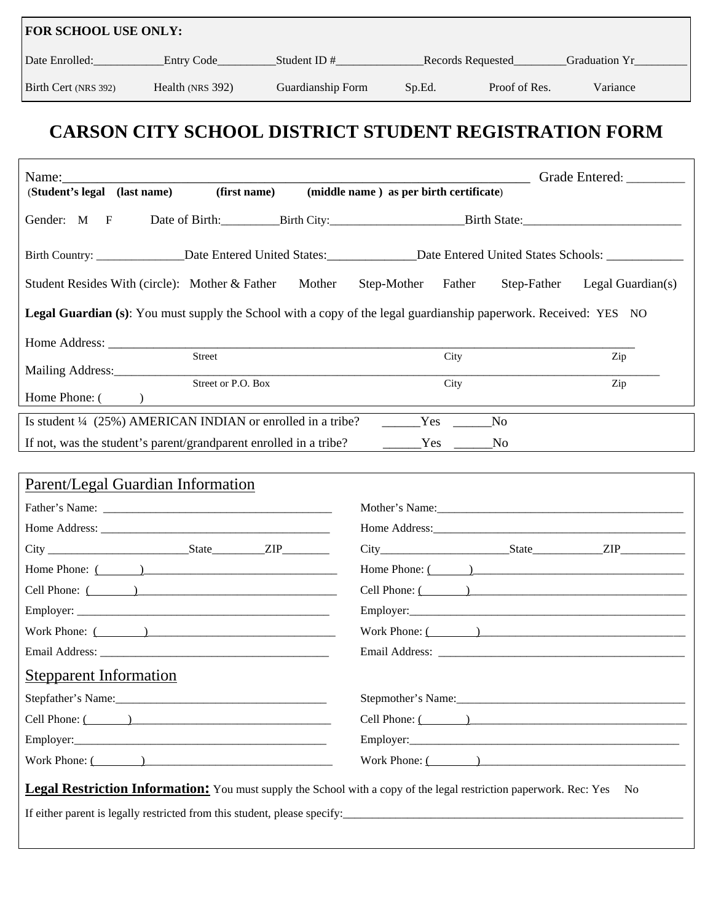| <b>FOR SCHOOL USE ONLY:</b> |                  |                   |                   |               |                      |  |  |  |
|-----------------------------|------------------|-------------------|-------------------|---------------|----------------------|--|--|--|
| Date Enrolled:              | Entry Code       | Student ID $#$    | Records Requested |               | <b>Graduation Yr</b> |  |  |  |
| Birth Cert (NRS 392)        | Health (NRS 392) | Guardianship Form | Sp.Ed.            | Proof of Res. | Variance             |  |  |  |

# **CARSON CITY SCHOOL DISTRICT STUDENT REGISTRATION FORM**

| (first name)<br>(Student's legal (last name)                                                                                                                                                                                                                                                                      | Grade Entered: _________<br>(middle name) as per birth certificate)       |  |  |  |  |
|-------------------------------------------------------------------------------------------------------------------------------------------------------------------------------------------------------------------------------------------------------------------------------------------------------------------|---------------------------------------------------------------------------|--|--|--|--|
|                                                                                                                                                                                                                                                                                                                   |                                                                           |  |  |  |  |
| Gender: M F                                                                                                                                                                                                                                                                                                       | Date of Birth: Birth City: Birth State:                                   |  |  |  |  |
|                                                                                                                                                                                                                                                                                                                   |                                                                           |  |  |  |  |
| Student Resides With (circle): Mother & Father Mother                                                                                                                                                                                                                                                             | Step-Mother Father<br>Step-Father<br>Legal Guardian(s)                    |  |  |  |  |
| <b>Legal Guardian (s):</b> You must supply the School with a copy of the legal guardianship paperwork. Received: YES NO                                                                                                                                                                                           |                                                                           |  |  |  |  |
|                                                                                                                                                                                                                                                                                                                   |                                                                           |  |  |  |  |
| Street                                                                                                                                                                                                                                                                                                            | City<br>Zip                                                               |  |  |  |  |
| Street or P.O. Box                                                                                                                                                                                                                                                                                                | Zip<br>City                                                               |  |  |  |  |
| Home Phone: $($ $)$                                                                                                                                                                                                                                                                                               |                                                                           |  |  |  |  |
| Is student $\frac{1}{4}$ (25%) AMERICAN INDIAN or enrolled in a tribe? $\qquad \qquad$ Yes                                                                                                                                                                                                                        | N <sub>0</sub>                                                            |  |  |  |  |
| If not, was the student's parent/grandparent enrolled in a tribe? The No No                                                                                                                                                                                                                                       |                                                                           |  |  |  |  |
| Parent/Legal Guardian Information<br>Home Phone: $($<br>Cell Phone: ( )<br>Work Phone: $($<br><b>Stepparent Information</b>                                                                                                                                                                                       | Home Phone: $($ $)$<br>Cell Phone: $($<br>Work Phone: ( )                 |  |  |  |  |
|                                                                                                                                                                                                                                                                                                                   |                                                                           |  |  |  |  |
|                                                                                                                                                                                                                                                                                                                   | Cell Phone: ( )                                                           |  |  |  |  |
|                                                                                                                                                                                                                                                                                                                   |                                                                           |  |  |  |  |
| Work Phone: $\frac{1}{2}$ $\frac{1}{2}$ $\frac{1}{2}$ $\frac{1}{2}$ $\frac{1}{2}$ $\frac{1}{2}$ $\frac{1}{2}$ $\frac{1}{2}$ $\frac{1}{2}$ $\frac{1}{2}$ $\frac{1}{2}$ $\frac{1}{2}$ $\frac{1}{2}$ $\frac{1}{2}$ $\frac{1}{2}$ $\frac{1}{2}$ $\frac{1}{2}$ $\frac{1}{2}$ $\frac{1}{2}$ $\frac{1}{2}$ $\frac{1}{2}$ | Work Phone: $\overline{(\ }$                                              |  |  |  |  |
| <b>Legal Restriction Information:</b> You must supply the School with a copy of the legal restriction paperwork. Rec: Yes No                                                                                                                                                                                      | If either parent is legally restricted from this student, please specify: |  |  |  |  |